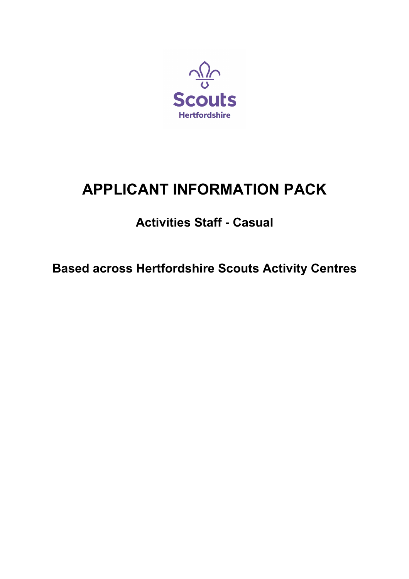

# **APPLICANT INFORMATION PACK**

## **Activities Staff - Casual**

**Based across Hertfordshire Scouts Activity Centres**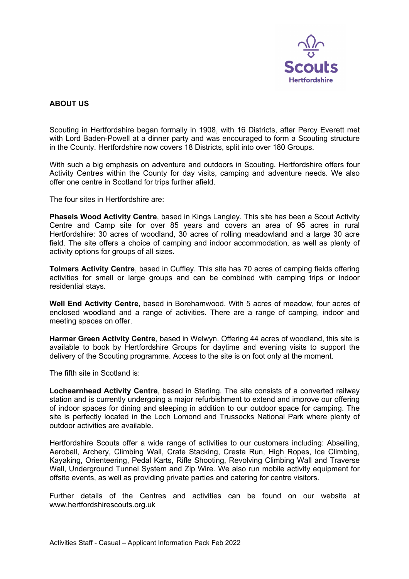

## **ABOUT US**

Scouting in Hertfordshire began formally in 1908, with 16 Districts, after Percy Everett met with Lord Baden-Powell at a dinner party and was encouraged to form a Scouting structure in the County. Hertfordshire now covers 18 Districts, split into over 180 Groups.

With such a big emphasis on adventure and outdoors in Scouting, Hertfordshire offers four Activity Centres within the County for day visits, camping and adventure needs. We also offer one centre in Scotland for trips further afield.

The four sites in Hertfordshire are:

**Phasels Wood Activity Centre**, based in Kings Langley. This site has been a Scout Activity Centre and Camp site for over 85 years and covers an area of 95 acres in rural Hertfordshire: 30 acres of woodland, 30 acres of rolling meadowland and a large 30 acre field. The site offers a choice of camping and indoor accommodation, as well as plenty of activity options for groups of all sizes.

**Tolmers Activity Centre**, based in Cuffley. This site has 70 acres of camping fields offering activities for small or large groups and can be combined with camping trips or indoor residential stavs.

**Well End Activity Centre**, based in Borehamwood. With 5 acres of meadow, four acres of enclosed woodland and a range of activities. There are a range of camping, indoor and meeting spaces on offer.

**Harmer Green Activity Centre**, based in Welwyn. Offering 44 acres of woodland, this site is available to book by Hertfordshire Groups for daytime and evening visits to support the delivery of the Scouting programme. Access to the site is on foot only at the moment.

The fifth site in Scotland is:

**Lochearnhead Activity Centre**, based in Sterling. The site consists of a converted railway station and is currently undergoing a major refurbishment to extend and improve our offering of indoor spaces for dining and sleeping in addition to our outdoor space for camping. The site is perfectly located in the Loch Lomond and Trussocks National Park where plenty of outdoor activities are available.

Hertfordshire Scouts offer a wide range of activities to our customers including: Abseiling, Aeroball, Archery, Climbing Wall, Crate Stacking, Cresta Run, High Ropes, Ice Climbing, Kayaking, Orienteering, Pedal Karts, Rifle Shooting, Revolving Climbing Wall and Traverse Wall, Underground Tunnel System and Zip Wire. We also run mobile activity equipment for offsite events, as well as providing private parties and catering for centre visitors.

Further details of the Centres and activities can be found on our website at www.hertfordshirescouts.org.uk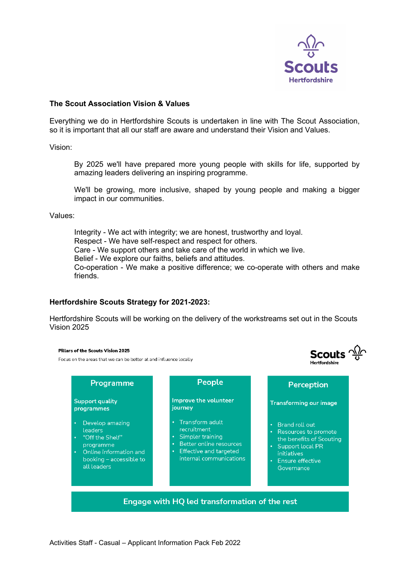

**Scouts**  $\frac{\sqrt{3}}{9}$ 

u<br>artfordebir

## **The Scout Association Vision & Values**

Everything we do in Hertfordshire Scouts is undertaken in line with The Scout Association, so it is important that all our staff are aware and understand their Vision and Values.

Vision:

By 2025 we'll have prepared more young people with skills for life, supported by amazing leaders delivering an inspiring programme.

We'll be growing, more inclusive, shaped by young people and making a bigger impact in our communities.

Values:

Integrity - We act with integrity; we are honest, trustworthy and loyal. Respect - We have self-respect and respect for others. Care - We support others and take care of the world in which we live. Belief - We explore our faiths, beliefs and attitudes. Co-operation - We make a positive difference; we co-operate with others and make friends.

## **Hertfordshire Scouts Strategy for 2021-2023:**

Hertfordshire Scouts will be working on the delivery of the workstreams set out in the Scouts Vision 2025

#### Pillars of the Scouts Vision 2025

Focus on the areas that we can be better at and influence locally

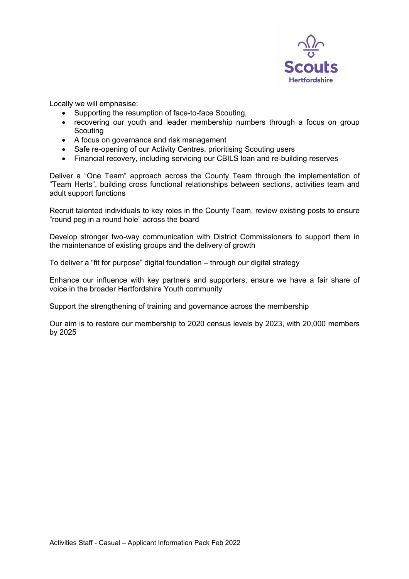

Locally we will emphasise:

- Supporting the resumption of face-to-face Scouting,
- recovering our youth and leader membership numbers through a focus on group **Scouting**
- A focus on governance and risk management
- Safe re-opening of our Activity Centres, prioritising Scouting users
- Financial recovery, including servicing our CBILS loan and re-building reserves

Deliver a "One Team" approach across the County Team through the implementation of "Team Herts", building cross functional relationships between sections, activities team and adult support functions

Recruit talented individuals to key roles in the County Team, review existing posts to ensure "round peg in a round hole" across the board

Develop stronger two-way communication with District Commissioners to support them in the maintenance of existing groups and the delivery of growth

To deliver a "fit for purpose" digital foundation – through our digital strategy

Enhance our influence with key partners and supporters, ensure we have a fair share of voice in the broader Hertfordshire Youth community

Support the strengthening of training and governance across the membership

Our aim is to restore our membership to 2020 census levels by 2023, with 20,000 members by 2025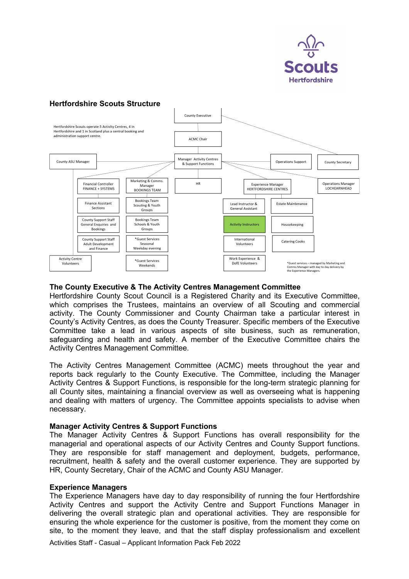

## **Hertfordshire Scouts Structure**



## **The County Executive & The Activity Centres Management Committee**

Hertfordshire County Scout Council is a Registered Charity and its Executive Committee, which comprises the Trustees, maintains an overview of all Scouting and commercial activity. The County Commissioner and County Chairman take a particular interest in County's Activity Centres, as does the County Treasurer. Specific members of the Executive Committee take a lead in various aspects of site business, such as remuneration, safeguarding and health and safety. A member of the Executive Committee chairs the Activity Centres Management Committee.

The Activity Centres Management Committee (ACMC) meets throughout the year and reports back regularly to the County Executive. The Committee, including the Manager Activity Centres & Support Functions, is responsible for the long-term strategic planning for all County sites, maintaining a financial overview as well as overseeing what is happening and dealing with matters of urgency. The Committee appoints specialists to advise when necessary.

## **Manager Activity Centres & Support Functions**

The Manager Activity Centres & Support Functions has overall responsibility for the managerial and operational aspects of our Activity Centres and County Support functions. They are responsible for staff management and deployment, budgets, performance, recruitment, health & safety and the overall customer experience. They are supported by HR, County Secretary, Chair of the ACMC and County ASU Manager.

## **Experience Managers**

The Experience Managers have day to day responsibility of running the four Hertfordshire Activity Centres and support the Activity Centre and Support Functions Manager in delivering the overall strategic plan and operational activities. They are responsible for ensuring the whole experience for the customer is positive, from the moment they come on site, to the moment they leave, and that the staff display professionalism and excellent

Activities Staff - Casual – Applicant Information Pack Feb 2022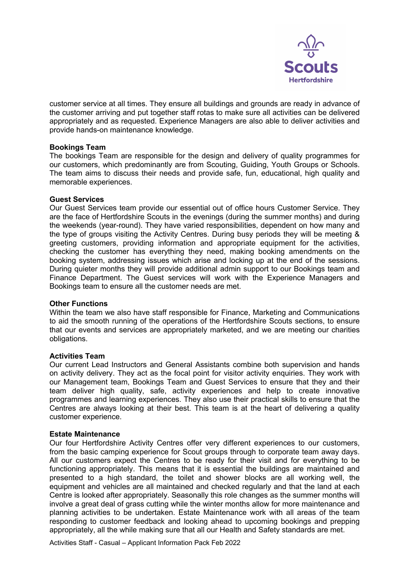

customer service at all times. They ensure all buildings and grounds are ready in advance of the customer arriving and put together staff rotas to make sure all activities can be delivered appropriately and as requested. Experience Managers are also able to deliver activities and provide hands-on maintenance knowledge.

## **Bookings Team**

The bookings Team are responsible for the design and delivery of quality programmes for our customers, which predominantly are from Scouting, Guiding, Youth Groups or Schools. The team aims to discuss their needs and provide safe, fun, educational, high quality and memorable experiences.

## **Guest Services**

Our Guest Services team provide our essential out of office hours Customer Service. They are the face of Hertfordshire Scouts in the evenings (during the summer months) and during the weekends (year-round). They have varied responsibilities, dependent on how many and the type of groups visiting the Activity Centres. During busy periods they will be meeting & greeting customers, providing information and appropriate equipment for the activities, checking the customer has everything they need, making booking amendments on the booking system, addressing issues which arise and locking up at the end of the sessions. During quieter months they will provide additional admin support to our Bookings team and Finance Department. The Guest services will work with the Experience Managers and Bookings team to ensure all the customer needs are met.

## **Other Functions**

Within the team we also have staff responsible for Finance, Marketing and Communications to aid the smooth running of the operations of the Hertfordshire Scouts sections, to ensure that our events and services are appropriately marketed, and we are meeting our charities obligations.

## **Activities Team**

Our current Lead Instructors and General Assistants combine both supervision and hands on activity delivery. They act as the focal point for visitor activity enquiries. They work with our Management team, Bookings Team and Guest Services to ensure that they and their team deliver high quality, safe, activity experiences and help to create innovative programmes and learning experiences. They also use their practical skills to ensure that the Centres are always looking at their best. This team is at the heart of delivering a quality customer experience.

## **Estate Maintenance**

Our four Hertfordshire Activity Centres offer very different experiences to our customers, from the basic camping experience for Scout groups through to corporate team away days. All our customers expect the Centres to be ready for their visit and for everything to be functioning appropriately. This means that it is essential the buildings are maintained and presented to a high standard, the toilet and shower blocks are all working well, the equipment and vehicles are all maintained and checked regularly and that the land at each Centre is looked after appropriately. Seasonally this role changes as the summer months will involve a great deal of grass cutting while the winter months allow for more maintenance and planning activities to be undertaken. Estate Maintenance work with all areas of the team responding to customer feedback and looking ahead to upcoming bookings and prepping appropriately, all the while making sure that all our Health and Safety standards are met.

Activities Staff - Casual – Applicant Information Pack Feb 2022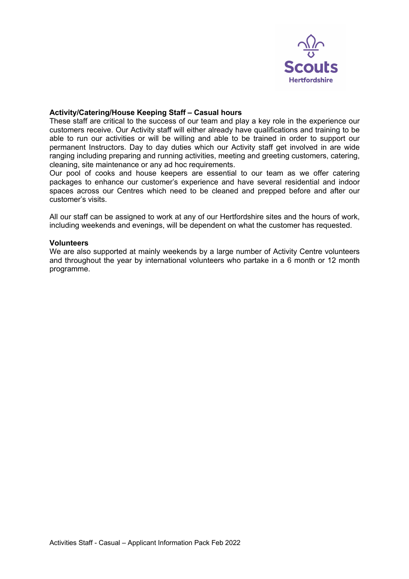

## **Activity/Catering/House Keeping Staff – Casual hours**

These staff are critical to the success of our team and play a key role in the experience our customers receive. Our Activity staff will either already have qualifications and training to be able to run our activities or will be willing and able to be trained in order to support our permanent Instructors. Day to day duties which our Activity staff get involved in are wide ranging including preparing and running activities, meeting and greeting customers, catering, cleaning, site maintenance or any ad hoc requirements.

Our pool of cooks and house keepers are essential to our team as we offer catering packages to enhance our customer's experience and have several residential and indoor spaces across our Centres which need to be cleaned and prepped before and after our customer's visits.

All our staff can be assigned to work at any of our Hertfordshire sites and the hours of work, including weekends and evenings, will be dependent on what the customer has requested.

## **Volunteers**

We are also supported at mainly weekends by a large number of Activity Centre volunteers and throughout the year by international volunteers who partake in a 6 month or 12 month programme.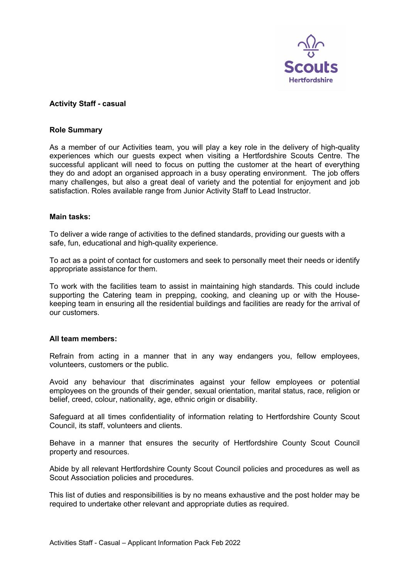

## **Activity Staff - casual**

## **Role Summary**

As a member of our Activities team, you will play a key role in the delivery of high-quality experiences which our guests expect when visiting a Hertfordshire Scouts Centre. The successful applicant will need to focus on putting the customer at the heart of everything they do and adopt an organised approach in a busy operating environment. The job offers many challenges, but also a great deal of variety and the potential for enjoyment and job satisfaction. Roles available range from Junior Activity Staff to Lead Instructor.

#### **Main tasks:**

To deliver a wide range of activities to the defined standards, providing our guests with a safe, fun, educational and high-quality experience.

To act as a point of contact for customers and seek to personally meet their needs or identify appropriate assistance for them.

To work with the facilities team to assist in maintaining high standards. This could include supporting the Catering team in prepping, cooking, and cleaning up or with the Housekeeping team in ensuring all the residential buildings and facilities are ready for the arrival of our customers.

## **All team members:**

Refrain from acting in a manner that in any way endangers you, fellow employees, volunteers, customers or the public.

Avoid any behaviour that discriminates against your fellow employees or potential employees on the grounds of their gender, sexual orientation, marital status, race, religion or belief, creed, colour, nationality, age, ethnic origin or disability.

Safeguard at all times confidentiality of information relating to Hertfordshire County Scout Council, its staff, volunteers and clients.

Behave in a manner that ensures the security of Hertfordshire County Scout Council property and resources.

Abide by all relevant Hertfordshire County Scout Council policies and procedures as well as Scout Association policies and procedures.

This list of duties and responsibilities is by no means exhaustive and the post holder may be required to undertake other relevant and appropriate duties as required.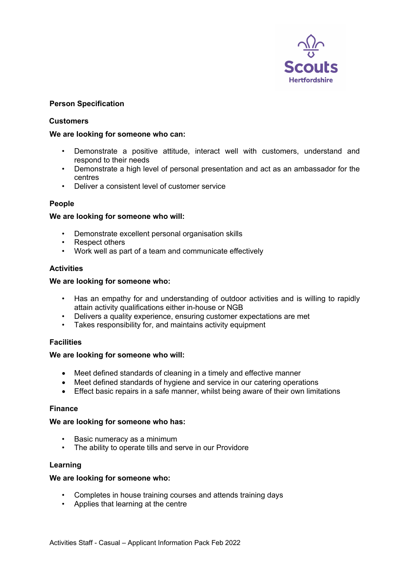

## **Person Specification**

## **Customers**

## **We are looking for someone who can:**

- Demonstrate a positive attitude, interact well with customers, understand and respond to their needs
- Demonstrate a high level of personal presentation and act as an ambassador for the centres
- Deliver a consistent level of customer service

## **People**

## **We are looking for someone who will:**

- Demonstrate excellent personal organisation skills
- Respect others
- Work well as part of a team and communicate effectively

## **Activities**

## **We are looking for someone who:**

- Has an empathy for and understanding of outdoor activities and is willing to rapidly attain activity qualifications either in-house or NGB
- Delivers a quality experience, ensuring customer expectations are met
- Takes responsibility for, and maintains activity equipment

## **Facilities**

## **We are looking for someone who will:**

- Meet defined standards of cleaning in a timely and effective manner
- Meet defined standards of hygiene and service in our catering operations
- Effect basic repairs in a safe manner, whilst being aware of their own limitations

## **Finance**

## **We are looking for someone who has:**

- Basic numeracy as a minimum
- The ability to operate tills and serve in our Providore

## **Learning**

## **We are looking for someone who:**

- Completes in house training courses and attends training days
- Applies that learning at the centre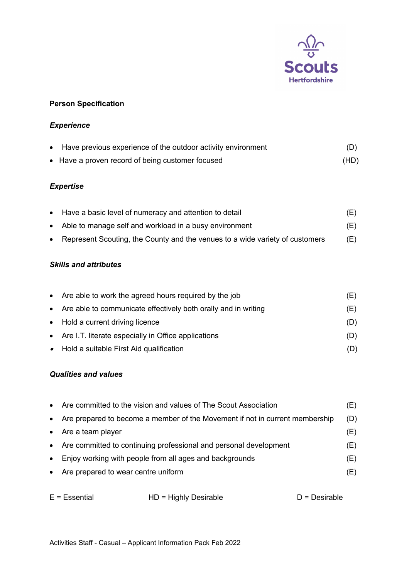

## **Person Specification**

## *Experience*

| Have previous experience of the outdoor activity environment | (D)  |
|--------------------------------------------------------------|------|
| • Have a proven record of being customer focused             | (HD) |

## *Expertise*

|  | • Have a basic level of numeracy and attention to detail |  |
|--|----------------------------------------------------------|--|
|--|----------------------------------------------------------|--|

- Able to manage self and workload in a busy environment (E)
- Represent Scouting, the County and the venues to a wide variety of customers (E)

## *Skills and attributes*

| • Are able to work the agreed hours required by the job          | (E) |
|------------------------------------------------------------------|-----|
| • Are able to communicate effectively both orally and in writing | (E) |
| • Hold a current driving licence                                 | (D) |
| • Are I.T. literate especially in Office applications            | (D) |
| • Hold a suitable First Aid qualification                        |     |

## *Qualities and values*

| $\bullet$ | Are committed to the vision and values of The Scout Association              | (E) |
|-----------|------------------------------------------------------------------------------|-----|
| $\bullet$ | Are prepared to become a member of the Movement if not in current membership | (D) |
|           | • Are a team player                                                          | (E) |
|           | • Are committed to continuing professional and personal development          | (E) |
|           | • Enjoy working with people from all ages and backgrounds                    | (E) |
| $\bullet$ | Are prepared to wear centre uniform                                          | (E) |

| $E = E$ ssential | $HD =$ Highly Desirable | $D =$ Desirable |
|------------------|-------------------------|-----------------|